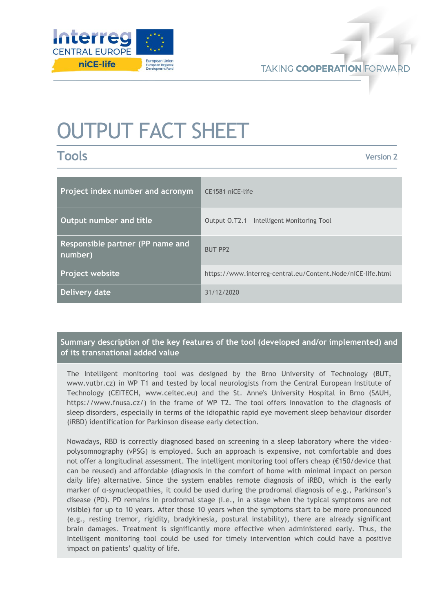

# OUTPUT FACT SHEET

**Tools**

**Version 2**

| Project index number and acronym            | CE1581 niCE-life                                            |
|---------------------------------------------|-------------------------------------------------------------|
| Output number and title                     | Output O.T2.1 - Intelligent Monitoring Tool                 |
| Responsible partner (PP name and<br>number) | <b>BUT PP2</b>                                              |
| <b>Project website</b>                      | https://www.interreg-central.eu/Content.Node/niCE-life.html |
| Delivery date                               | 31/12/2020                                                  |

**Summary description of the key features of the tool (developed and/or implemented) and of its transnational added value**

The Intelligent monitoring tool was designed by the Brno University of Technology (BUT, [www.vutbr.cz\)](http://www.vutbr.cz/) in WP T1 and tested by local neurologists from the Central European Institute of Technology (CEITECH, [www.ceitec.eu\)](http://www.ceitec.eu/) and the St. Anne's University Hospital in Brno (SAUH, [https://www.fnusa.cz/\)](https://www.fnusa.cz/) in the frame of WP T2. The tool offers innovation to the diagnosis of sleep disorders, especially in terms of the idiopathic rapid eye movement sleep behaviour disorder (iRBD) identification for Parkinson disease early detection.

Nowadays, RBD is correctly diagnosed based on screening in a sleep laboratory where the videopolysomnography (vPSG) is employed. Such an approach is expensive, not comfortable and does not offer a longitudinal assessment. The intelligent monitoring tool offers cheap (€150/device that can be reused) and affordable (diagnosis in the comfort of home with minimal impact on person daily life) alternative. Since the system enables remote diagnosis of iRBD, which is the early marker of α-synucleopathies, it could be used during the prodromal diagnosis of e.g., Parkinson's disease (PD). PD remains in prodromal stage (i.e., in a stage when the typical symptoms are not visible) for up to 10 years. After those 10 years when the symptoms start to be more pronounced (e.g., resting tremor, rigidity, bradykinesia, postural instability), there are already significant brain damages. Treatment is significantly more effective when administered early. Thus, the Intelligent monitoring tool could be used for timely intervention which could have a positive impact on patients' quality of life.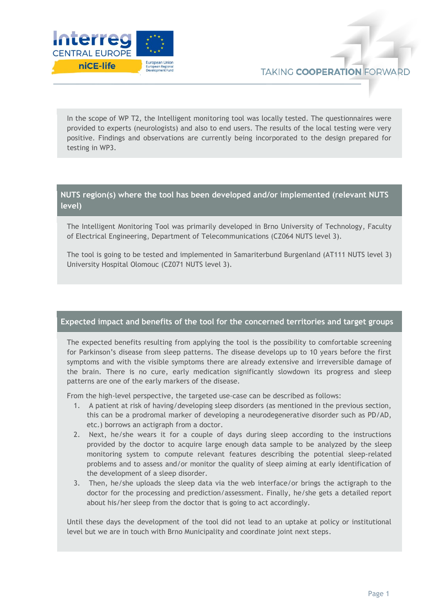

In the scope of WP T2, the Intelligent monitoring tool was locally tested. The questionnaires were provided to experts (neurologists) and also to end users. The results of the local testing were very positive. Findings and observations are currently being incorporated to the design prepared for testing in WP3.

## **NUTS region(s) where the tool has been developed and/or implemented (relevant NUTS level)**

The Intelligent Monitoring Tool was primarily developed in Brno University of Technology, Faculty of Electrical Engineering, Department of Telecommunications (CZ064 NUTS level 3).

The tool is going to be tested and implemented in Samariterbund Burgenland (AT111 NUTS level 3) University Hospital Olomouc (CZ071 NUTS level 3).

### **Expected impact and benefits of the tool for the concerned territories and target groups**

The expected benefits resulting from applying the tool is the possibility to comfortable screening for Parkinson's disease from sleep patterns. The disease develops up to 10 years before the first symptoms and with the visible symptoms there are already extensive and irreversible damage of the brain. There is no cure, early medication significantly slowdown its progress and sleep patterns are one of the early markers of the disease.

From the high-level perspective, the targeted use-case can be described as follows:

- 1. A patient at risk of having/developing sleep disorders (as mentioned in the previous section, this can be a prodromal marker of developing a neurodegenerative disorder such as PD/AD, etc.) borrows an actigraph from a doctor.
- 2. Next, he/she wears it for a couple of days during sleep according to the instructions provided by the doctor to acquire large enough data sample to be analyzed by the sleep monitoring system to compute relevant features describing the potential sleep-related problems and to assess and/or monitor the quality of sleep aiming at early identification of the development of a sleep disorder.
- 3. Then, he/she uploads the sleep data via the web interface/or brings the actigraph to the doctor for the processing and prediction/assessment. Finally, he/she gets a detailed report about his/her sleep from the doctor that is going to act accordingly.

Until these days the development of the tool did not lead to an uptake at policy or institutional level but we are in touch with Brno Municipality and coordinate joint next steps.